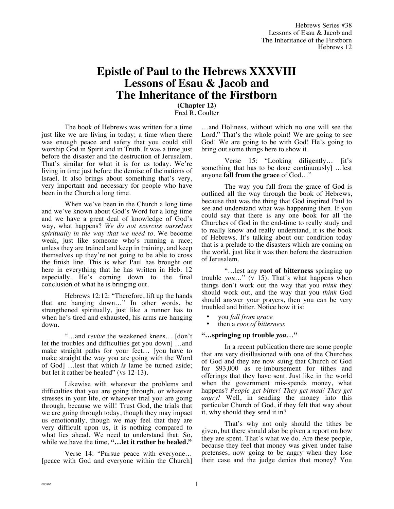## **Epistle of Paul to the Hebrews XXXVIII Lessons of Esau & Jacob and The Inheritance of the Firstborn**

**(Chapter 12)** Fred R. Coulter

The book of Hebrews was written for a time just like we are living in today; a time when there was enough peace and safety that you could still worship God in Spirit and in Truth. It was a time just before the disaster and the destruction of Jerusalem. That's similar for what it is for us today. We're living in time just before the demise of the nations of Israel. It also brings about something that's very, very important and necessary for people who have been in the Church a long time.

When we've been in the Church a long time and we've known about God's Word for a long time and we have a great deal of knowledge of God's way, what happens? *We do not exercise ourselves spiritually in the way that we need to.* We become weak, just like someone who's running a race; unless they are trained and keep in training, and keep themselves up they're not going to be able to cross the finish line. This is what Paul has brought out here in everything that he has written in Heb. 12 especially. He's coming down to the final conclusion of what he is bringing out.

Hebrews 12:12: "Therefore, lift up the hands that are hanging down…" In other words, be strengthened spiritually, just like a runner has to when he's tired and exhausted, his arms are hanging down.

"…and *revive* the weakened knees… [don't let the troubles and difficulties get you down] …and make straight paths for your feet… [you have to make straight the way you are going with the Word of God] …lest that which *is* lame be turned aside; but let it rather be healed" (vs 12-13).

Likewise with whatever the problems and difficulties that you are going through, or whatever stresses in your life, or whatever trial you are going through, because we will! Trust God, the trials that we are going through today, though they may impact us emotionally, though we may feel that they are very difficult upon us, it is nothing compared to what lies ahead. We need to understand that. So, while we have the time, **"…let it rather be healed."**

Verse 14: "Pursue peace with everyone… [peace with God and everyone within the Church]

…and Holiness, without which no one will see the Lord." That's the whole point! We are going to see God! We are going to be with God! He's going to bring out some things here to show it.

Verse 15: "Looking diligently… [it's something that has to be done continuously] …lest anyone **fall from the grace** of God…"

The way you fall from the grace of God is outlined all the way through the book of Hebrews, because that was the thing that God inspired Paul to see and understand what was happening then. If you could say that there is any one book for all the Churches of God in the end-time to really study and to really know and really understand, it is the book of Hebrews. It's talking about our condition today that is a prelude to the disasters which are coming on the world, just like it was then before the destruction of Jerusalem.

"…lest any **root of bitterness** springing up trouble *you*…" (v 15). That's what happens when things don't work out the way that you *think* they should work out, and the way that you *think* God should answer your prayers, then you can be very troubled and bitter. Notice how it is:

- you *fall from grace*
- then a *root of bitterness*

## **"…springing up trouble** *you…***"**

In a recent publication there are some people that are very disillusioned with one of the Churches of God and they are now suing that Church of God for \$93,000 as re-imbursement for tithes and offerings that they have sent. Just like in the world when the government mis-spends money, what happens? *People get bitter! They get mad! They get angry!* Well, in sending the money into this particular Church of God, if they felt that way about it, why should they send it in?

That's why not only should the tithes be given, but there should also be given a report on how they are spent. That's what we do. Are these people, because they feel that money was given under false pretenses, now going to be angry when they lose their case and the judge denies that money? You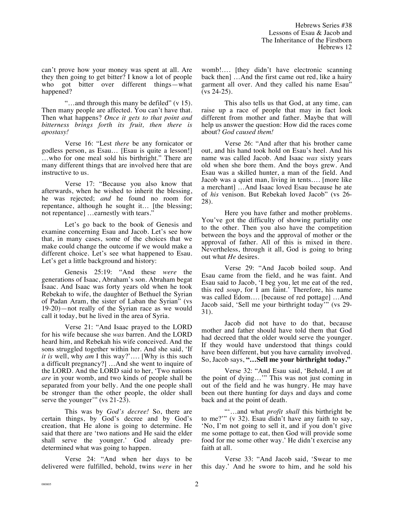can't prove how your money was spent at all. Are they then going to get bitter? I know a lot of people who got bitter over different things—what happened?

"…and through this many be defiled" (v 15). Then many people are affected. You can't have that. Then what happens? *Once it gets to that point and bitterness brings forth its fruit, then there is apostasy!* 

Verse 16: "Lest *there* be any fornicator or godless person, as Esau… [Esau is quite a lesson!] …who for one meal sold his birthright." There are many different things that are involved here that are instructive to us.

Verse 17: "Because you also know that afterwards, when he wished to inherit the blessing, he was rejected; *and* he found no room for repentance, although he sought it… [the blessing; not repentance] ...earnestly with tears.'

Let's go back to the book of Genesis and examine concerning Esau and Jacob. Let's see how that, in many cases, some of the choices that we make could change the outcome if we would make a different choice. Let's see what happened to Esau. Let's get a little background and history:

Genesis 25:19: "And these *were* the generations of Isaac, Abraham's son. Abraham begat Isaac. And Isaac was forty years old when he took Rebekah to wife, the daughter of Bethuel the Syrian of Padan Aram, the sister of Laban the Syrian" (vs 19-20)—not really of the Syrian race as we would call it today, but he lived in the area of Syria.

Verse 21: "And Isaac prayed to the LORD for his wife because she *was* barren. And the LORD heard him, and Rebekah his wife conceived. And the sons struggled together within her. And she said, 'If *it is* well, why *am* I this way?'…. [Why is this such a difficult pregnancy?] …And she went to inquire of the LORD. And the LORD said to her, 'Two nations *are* in your womb, and two kinds of people shall be separated from your belly. And the one people shall be stronger than the other people, the older shall serve the younger" (vs 21-23).

This was by *God's decree!* So, there are certain things, by God's decree and by God's creation, that He alone is going to determine. He said that there are 'two nations and He said the elder shall serve the younger.' God already predetermined what was going to happen.

Verse 24: "And when her days to be delivered were fulfilled, behold, twins *were* in her womb!.... [they didn't have electronic scanning] back then] …And the first came out red, like a hairy garment all over. And they called his name Esau" (vs 24-25).

This also tells us that God, at any time, can raise up a race of people that may in fact look different from mother and father. Maybe that will help us answer the question: How did the races come about? *God caused them!*

Verse 26: "And after that his brother came out, and his hand took hold on Esau's heel. And his name was called Jacob. And Isaac *was* sixty years old when she bore them. And the boys grew. And Esau was a skilled hunter, a man of the field. And Jacob was a quiet man, living in tents…. [more like a merchant] …And Isaac loved Esau because he ate of *his* venison. But Rebekah loved Jacob" (vs 26- 28).

Here you have father and mother problems. You've got the difficulty of showing partiality one to the other. Then you also have the competition between the boys and the approval of mother or the approval of father. All of this is mixed in there. Nevertheless, through it all, God is going to bring out what *He* desires.

Verse 29: "And Jacob boiled soup. And Esau came from the field, and he was faint. And Esau said to Jacob, 'I beg you, let me eat of the red, this red *soup*, for I am faint.' Therefore, his name was called Edom…. [because of red pottage] …And Jacob said, 'Sell me your birthright today'" (vs 29- 31).

Jacob did not have to do that, because mother and father should have told them that God had decreed that the older would serve the younger. If they would have understood that things could have been different, but you have carnality involved. So, Jacob says, **"…Sell me your birthright today."**

Verse 32: "And Esau said, 'Behold, I *am* at the point of dying…'" This was not just coming in out of the field and he was hungry. He may have been out there hunting for days and days and come back and at the point of death.

"'…and what *profit shall* this birthright be to me?'" (v 32). Esau didn't have any faith to say, 'No, I'm not going to sell it, and if you don't give me some pottage to eat, then God will provide some food for me some other way.' He didn't exercise any faith at all.

Verse 33: "And Jacob said, 'Swear to me this day.' And he swore to him, and he sold his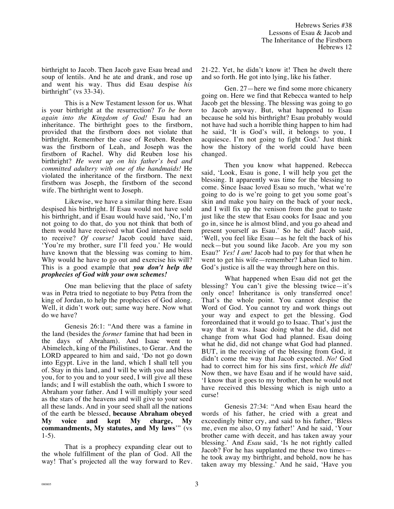birthright to Jacob. Then Jacob gave Esau bread and soup of lentils. And he ate and drank, and rose up and went his way. Thus did Esau despise *his* birthright" (vs 33-34).

This is a New Testament lesson for us. What is your birthright at the resurrection? *To be born again into the Kingdom of God!* Esau had an inheritance. The birthright goes to the firstborn, provided that the firstborn does not violate that birthright. Remember the case of Reuben. Reuben was the firstborn of Leah, and Joseph was the firstborn of Rachel. Why did Reuben lose his birthright? *He went up on his father's bed and committed adultery with one of the handmaids!* He violated the inheritance of the firstborn. The next firstborn was Joseph, the firstborn of the second wife. The birthright went to Joseph.

Likewise, we have a similar thing here. Esau despised his birthright. If Esau would not have sold his birthright, and if Esau would have said, 'No, I'm not going to do that, do you not think that both of them would have received what God intended them to receive? *Of course!* Jacob could have said, 'You're my brother, sure I'll feed you.' He would have known that the blessing was coming to him. Why would he have to go out and exercise his will? This is a good example that *you don't help the prophecies of God with your own schemes!* 

One man believing that the place of safety was in Petra tried to negotiate to buy Petra from the king of Jordan, to help the prophecies of God along. Well, it didn't work out; same way here. Now what do we have?

Genesis 26:1: "And there was a famine in the land (besides the *former* famine that had been in the days of Abraham). And Isaac went to Abimelech, king of the Philistines, to Gerar. And the LORD appeared to him and said, 'Do not go down into Egypt. Live in the land, which I shall tell you of. Stay in this land, and I will be with you and bless you, for to you and to your seed, I will give all these lands; and I will establish the oath, which I swore to Abraham your father. And I will multiply your seed as the stars of the heavens and will give to your seed all these lands. And in your seed shall all the nations of the earth be blessed, **because Abraham obeyed My voice and kept My charge, My commandments, My statutes, and My laws**'" (vs 1-5).

That is a prophecy expanding clear out to the whole fulfillment of the plan of God. All the way! That's projected all the way forward to Rev. 21-22. Yet, he didn't know it! Then he dwelt there and so forth. He got into lying, like his father.

Gen. 27—here we find some more chicanery going on. Here we find that Rebecca wanted to help Jacob get the blessing. The blessing was going to go to Jacob anyway. But, what happened to Esau because he sold his birthright? Esau probably would not have had such a horrible thing happen to him had he said, 'It is God's will, it belongs to you, I acquiesce. I'm not going to fight God.' Just think how the history of the world could have been changed.

Then you know what happened. Rebecca said, 'Look, Esau is gone, I will help you get the blessing. It apparently was time for the blessing to come. Since Isaac loved Esau so much, 'what we're going to do is we're going to get you some goat's skin and make you hairy on the back of your neck, and I will fix up the venison from the goat to taste just like the stew that Esau cooks for Isaac and you go in, since he is almost blind, and you go ahead and present yourself as Esau.' So he did! Jacob said, 'Well, you feel like Esau—as he felt the back of his neck—but you sound like Jacob. Are you my son Esau?' *Yes! I am!* Jacob had to pay for that when he went to get his wife—remember? Laban lied to him. God's justice is all the way through here on this.

What happened when Esau did not get the blessing? You can't give the blessing twice—it's only once! Inheritance is only transferred once! That's the whole point. You cannot despise the Word of God. You cannot try and work things out your way and expect to get the blessing. God foreordained that it would go to Isaac. That's just the way that it was. Isaac doing what he did, did not change from what God had planned. Esau doing what he did, did not change what God had planned. BUT, in the receiving of the blessing from God, it didn't come the way that Jacob expected. *No!* God had to correct him for his sins first, *which He did!* Now then, we have Esau and if he would have said, 'I know that it goes to my brother, then he would not have received this blessing which is nigh unto a curse!

Genesis 27:34: "And when Esau heard the words of his father, he cried with a great and exceedingly bitter cry, and said to his father, 'Bless me, even me also, O my father!' And he said, 'Your brother came with deceit, and has taken away your blessing.' And *Esau* said, 'Is he not rightly called Jacob? For he has supplanted me these two times he took away my birthright, and behold, now he has taken away my blessing.' And he said, 'Have you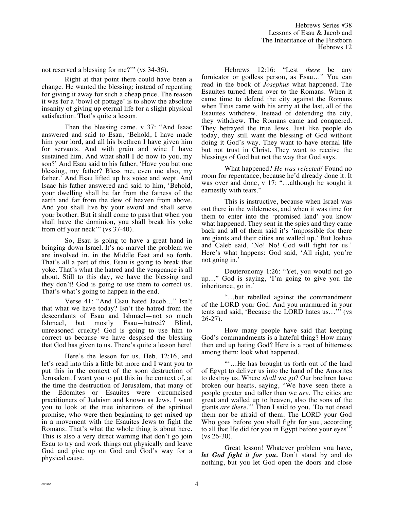not reserved a blessing for me?'" (vs 34-36).

Right at that point there could have been a change. He wanted the blessing; instead of repenting for giving it away for such a cheap price. The reason it was for a 'bowl of pottage' is to show the absolute insanity of giving up eternal life for a slight physical satisfaction. That's quite a lesson.

Then the blessing came, v 37: "And Isaac answered and said to Esau, 'Behold, I have made him your lord, and all his brethren I have given him for servants. And with grain and wine I have sustained him. And what shall I do now to you, my son?' And Esau said to his father, 'Have you but one blessing, my father? Bless me, even me also, my father.' And Esau lifted up his voice and wept. And Isaac his father answered and said to him, 'Behold, your dwelling shall be far from the fatness of the earth and far from the dew of heaven from above. And you shall live by your sword and shall serve your brother. But it shall come to pass that when you shall have the dominion, you shall break his yoke from off your neck'" (vs 37-40).

So, Esau is going to have a great hand in bringing down Israel. It's no marvel the problem we are involved in, in the Middle East and so forth. That's all a part of this. Esau is going to break that yoke. That's what the hatred and the vengeance is all about. Still to this day, we have the blessing and they don't! God is going to use them to correct us. That's what's going to happen in the end.

Verse 41: "And Esau hated Jacob…" Isn't that what we have today? Isn't the hatred from the descendants of Esau and Ishmael—not so much Ishmael, but mostly Esau—hatred? Blind, unreasoned cruelty! God is going to use him to correct us because we have despised the blessing that God has given to us. There's quite a lesson here!

Here's the lesson for us, Heb. 12:16, and let's read into this a little bit more and I want you to put this in the context of the soon destruction of Jerusalem. I want you to put this in the context of, at the time the destruction of Jerusalem, that many of the Edomites—or Esauites—were circumcised practitioners of Judaism and known as Jews. I want you to look at the true inheritors of the spiritual promise, who were then beginning to get mixed up in a movement with the Esauites Jews to fight the Romans. That's what the whole thing is about here. This is also a very direct warning that don't go join Esau to try and work things out physically and leave God and give up on God and God's way for a physical cause.

Hebrews 12:16: "Lest *there* be any fornicator or godless person, as Esau…" You can read in the book of *Josephus* what happened. The Esauites turned them over to the Romans. When it came time to defend the city against the Romans when Titus came with his army at the last, all of the Esauites withdrew. Instead of defending the city, they withdrew. The Romans came and conquered. They betrayed the true Jews. Just like people do today, they still want the blessing of God without doing it God's way. They want to have eternal life but not trust in Christ. They want to receive the blessings of God but not the way that God says.

What happened? *He was rejected!* Found no room for repentance, because he'd already done it. It was over and done, v 17: "...although he sought it earnestly with tears."

This is instructive, because when Israel was out there in the wilderness, and when it was time for them to enter into the 'promised land' you know what happened. They sent in the spies and they came back and all of them said it's 'impossible for there are giants and their cities are walled up.' But Joshua and Caleb said, 'No! No! God will fight for us.' Here's what happens: God said, 'All right, you're not going in.'

Deuteronomy 1:26: "Yet, you would not go up…" God is saying, 'I'm going to give you the inheritance, go in.'

"…but rebelled against the commandment of the LORD your God. And you murmured in your tents and said, 'Because the LORD hates us…'" (vs 26-27).

How many people have said that keeping God's commandments is a hateful thing? How many then end up hating God? Here is a root of bitterness among them; look what happened.

"'…He has brought us forth out of the land of Egypt to deliver us into the hand of the Amorites to destroy us. Where *shall* we go? Our brethren have broken our hearts, saying, "We have seen there a people greater and taller than we *are*. The cities are great and walled up to heaven, also the sons of the giants *are there*."' Then I said to you, 'Do not dread them nor be afraid of them. The LORD your God Who goes before you shall fight for you, according to all that He did for you in Egypt before your eyes'" (vs 26-30).

Great lesson! Whatever problem you have, *let God fight it for you.* Don't stand by and do nothing, but you let God open the doors and close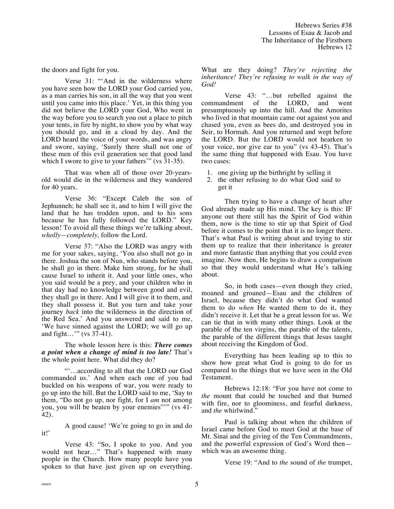the doors and fight for you.

Verse 31: "'And in the wilderness where you have seen how the LORD your God carried you, as a man carries his son, in all the way that you went until you came into this place.' Yet, in this thing you did not believe the LORD your God, Who went in the way before you to search you out a place to pitch your tents, in fire by night, to show you by what way you should go, and in a cloud by day. And the LORD heard the voice of your words, and was angry and swore, saying, 'Surely there shall not one of these men of this evil generation see that good land which I swore to give to your fathers'" (vs 31-35).

That was when all of those over 20-yearsold would die in the wilderness and they wandered for 40 years.

Verse 36: "Except Caleb the son of Jephunneh; he shall see it, and to him I will give the land that he has trodden upon, and to his sons because he has fully followed the LORD." Key lesson! To avoid all these things we're talking about, *wholly—completely,* follow the Lord.

Verse 37: "Also the LORD was angry with me for your sakes, saying, 'You also shall not go in there. Joshua the son of Nun, who stands before you, he shall go in there. Make him strong, for he shall cause Israel to inherit it. And your little ones, who you said would be a prey, and your children who in that day had no knowledge between good and evil, they shall go in there. And I will give it to them, and they shall possess it. But you turn and take your journey *back* into the wilderness in the direction of the Red Sea.' And you answered and said to me, 'We have sinned against the LORD; we will go up and fight…'" (vs 37-41).

The whole lesson here is this: *There comes a point when a change of mind is too late!* That's the whole point here. What did they do?

"'…according to all that the LORD our God commanded us.' And when each one of you had buckled on his weapons of war, you were ready to go up into the hill. But the LORD said to me, 'Say to them, "Do not go up, nor fight, for I *am* not among you, you will be beaten by your enemies"'" (vs 41- 42).

A good cause! 'We're going to go in and do it!'

Verse 43: "So, I spoke to you. And you would not hear…" That's happened with many people in the Church. How many people have you spoken to that have just given up on everything. What are they doing? *They're rejecting the inheritance! They're refusing to walk in the way of God!*

Verse 43: "…but rebelled against the commandment of the LORD, and went presumptuously up into the hill. And the Amorites who lived in that mountain came out against you and chased you, even as bees do, and destroyed you in Seir, to Hormah. And you returned and wept before the LORD. But the LORD would not hearken to your voice, nor give ear to you" (vs 43-45). That's the same thing that happened with Esau. You have two cases:

- 1. one giving up the birthright by selling it
- 2. the other refusing to do what God said to get it

Then trying to have a change of heart after God already made up His mind. The key is this: IF anyone out there still has the Spirit of God within them, now is the time to stir up that Spirit of God before it comes to the point that it is no longer there. That's what Paul is writing about and trying to stir them up to realize that their inheritance is greater and more fantastic than anything that you could even imagine. Now then, He begins to draw a comparison so that they would understand what He's talking about.

So, in both cases—even though they cried, moaned and groaned—Esau and the children of Israel, because they didn't do what God wanted them to do *when* He wanted them to do it, they didn't receive it. Let that be a great lesson for us. We can tie that in with many other things. Look at the parable of the ten virgins, the parable of the talents, the parable of the different things that Jesus taught about receiving the Kingdom of God.

Everything has been leading up to this to show how great what God is going to do for us compared to the things that we have seen in the Old Testament.

Hebrews 12:18: "For you have not come to *the* mount that could be touched and that burned with fire, nor to gloominess, and fearful darkness, and *the* whirlwind."

Paul is talking about when the children of Israel came before God to meet God at the base of Mt. Sinai and the giving of the Ten Commandments, and the powerful expression of God's Word then which was an awesome thing.

Verse 19: "And to *the* sound of *the* trumpet,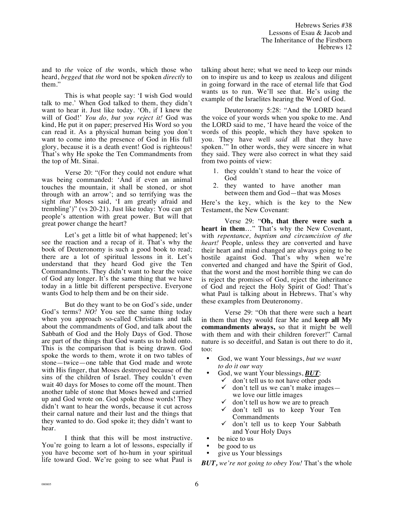and to *the* voice of *the* words, which those who heard, *begged* that *the* word not be spoken *directly* to them."

This is what people say: 'I wish God would talk to me.' When God talked to them, they didn't want to hear it. Just like today. 'Oh, if I knew the will of God!' *You do, but you reject it!* God was kind, He put it on paper; preserved His Word so you can read it. As a physical human being you don't want to come into the presence of God in His full glory, because it is a death event! God is righteous! That's why He spoke the Ten Commandments from the top of Mt. Sinai.

Verse 20: "(For they could not endure what was being commanded: 'And if even an animal touches the mountain, it shall be stoned, or shot through with an arrow'; and so terrifying was the sight *that* Moses said, 'I am greatly afraid and trembling')" (vs 20-21). Just like today: You can get people's attention with great power. But will that great power change the heart?

Let's get a little bit of what happened; let's see the reaction and a recap of it. That's why the book of Deuteronomy is such a good book to read; there are a lot of spiritual lessons in it. Let's understand that they heard God give the Ten Commandments. They didn't want to hear the voice of God any longer. It's the same thing that we have today in a little bit different perspective. Everyone wants God to help them and be on their side.

But do they want to be on God's side, under God's terms? *NO!* You see the same thing today when you approach so-called Christians and talk about the commandments of God, and talk about the Sabbath of God and the Holy Days of God. Those are part of the things that God wants us to hold onto. This is the comparison that is being drawn. God spoke the words to them, wrote it on two tables of stone—twice—one table that God made and wrote with His finger, that Moses destroyed because of the sins of the children of Israel. They couldn't even wait 40 days for Moses to come off the mount. Then another table of stone that Moses hewed and carried up and God wrote on. God spoke those words! They didn't want to hear the words, because it cut across their carnal nature and their lust and the things that they wanted to do. God spoke it; they didn't want to hear.

I think that this will be most instructive. You're going to learn a lot of lessons, especially if you have become sort of ho-hum in your spiritual life toward God. We're going to see what Paul is talking about here; what we need to keep our minds on to inspire us and to keep us zealous and diligent in going forward in the race of eternal life that God wants us to run. We'll see that. He's using the example of the Israelites hearing the Word of God.

Deuteronomy 5:28: "And the LORD heard the voice of your words when you spoke to me. And the LORD said to me, 'I have heard the voice of the words of this people, which they have spoken to you. They have well *said* all that they have spoken.'" In other words, they were sincere in what they said. They were also correct in what they said from two points of view:

- 1. they couldn't stand to hear the voice of God
- 2. they wanted to have another man between them and God—that was Moses

Here's the key, which is the key to the New Testament, the New Covenant:

Verse 29: "**Oh, that there were such a heart in them**…" That's why the New Covenant, with *repentance, baptism and circumcision of the heart!* People, unless they are converted and have their heart and mind changed are always going to be hostile against God. That's why when we're converted and changed and have the Spirit of God, that the worst and the most horrible thing we can do is reject the promises of God, reject the inheritance of God and reject the Holy Spirit of God! That's what Paul is talking about in Hebrews. That's why these examples from Deuteronomy.

Verse 29: "Oh that there were such a heart in them that they would fear Me and **keep all My commandments always,** so that it might be well with them and with their children forever!" Carnal nature is so deceitful, and Satan is out there to do it, too:

- God, we want Your blessings, *but we want to do it our way*
- God, we want Your blessings, *BUT*:
	- $\checkmark$  don't tell us to not have other gods  $\checkmark$  don't tell us we can't make images—
	- we love our little images  $\checkmark$  don't tell us how we are to preach
	- ! don't tell us to keep Your Ten Commandments
	- $\checkmark$  don't tell us to keep Your Sabbath and Your Holy Days
- be nice to us
- be good to us
- give us Your blessings

*BUT, we're not going to obey You!* That's the whole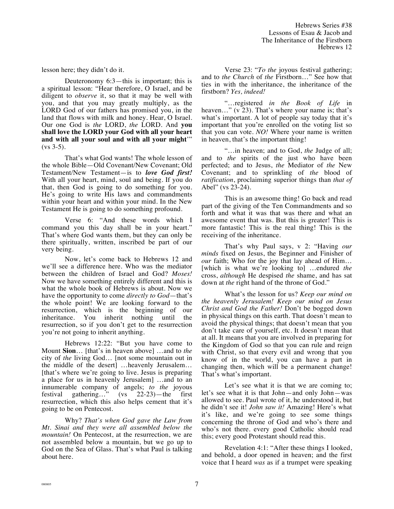lesson here; they didn't do it.

Deuteronomy 6:3—this is important; this is a spiritual lesson: "Hear therefore, O Israel, and be diligent to *observe* it, so that it may be well with you, and that you may greatly multiply, as the LORD God of our fathers has promised you, in the land that flows with milk and honey. Hear, O Israel. Our one God is *the* LORD, *the* LORD. And **you shall love the LORD your God with all your heart and with all your soul and with all your might**'"  $(vs 3-5)$ .

That's what God wants! The whole lesson of the whole Bible—Old Covenant/New Covenant; Old Testament/New Testament—is to *love God first!* With all your heart, mind, soul and being. If you do that, then God is going to do something for you. He's going to write His laws and commandments within your heart and within your mind. In the New Testament He is going to do something profound.

Verse 6: "And these words which I command you this day shall be in your heart." That's where God wants them, but they can only be there spiritually, written, inscribed be part of our very being.

Now, let's come back to Hebrews 12 and we'll see a difference here. Who was the mediator between the children of Israel and God? *Moses!* Now we have something entirely different and this is what the whole book of Hebrews is about. Now we have the opportunity to come *directly to God*—that's the whole point! We are looking forward to the resurrection, which is the beginning of our inheritance. You inherit nothing until the resurrection, so if you don't get to the resurrection you're not going to inherit anything.

Hebrews 12:22: "But you have come to Mount **Sion**… [that's in heaven above] …and to *the* city of *the* living God… [not some mountain out in the middle of the desert] …heavenly Jerusalem… [that's where we're going to live. Jesus is preparing a place for us in heavenly Jerusalem] …and to an innumerable company of angels; *to the* joyous festival gathering…" (vs 22-23)—the first resurrection, which this also helps cement that it's going to be on Pentecost.

Why? *That's when God gave the Law from Mt. Sinai and they were all assembled below the mountain!* On Pentecost, at the resurrection, we are not assembled below a mountain, but we go up to God on the Sea of Glass. That's what Paul is talking about here.

Verse 23: "*To the* joyous festival gathering; and to *the Church* of *the* Firstborn…" See how that ties in with the inheritance, the inheritance of the firstborn? *Yes, indeed!*

"…registered *in the Book of Life* in heaven..." (v 23). That's where your name is; that's what's important. A lot of people say today that it's important that you're enrolled on the voting list so that you can vote. *NO!* Where your name is written in heaven, that's the important thing!

"…in heaven; and to God, *the* Judge of all; and to *the* spirits of the just who have been perfected; and to Jesus, *the* Mediator of *the* New Covenant; and to sprinkling of *the* blood of *ratification*, proclaiming superior things than *that of*  Abel" (vs 23-24).

This is an awesome thing! Go back and read part of the giving of the Ten Commandments and so forth and what it was that was there and what an awesome event that was. But this is greater! This is more fantastic! This is the real thing! This is the receiving of the inheritance.

That's why Paul says, v 2: "Having *our minds* fixed on Jesus, the Beginner and Finisher of *our* faith; Who for the joy that lay ahead of Him… [which is what we're looking to] …endured *the* cross, *although* He despised *the* shame, and has sat down at *the* right hand of the throne of God."

What's the lesson for us? *Keep our mind on the heavenly Jerusalem! Keep our mind on Jesus Christ and God the Father!* Don't be bogged down in physical things on this earth. That doesn't mean to avoid the physical things; that doesn't mean that you don't take care of yourself, etc. It doesn't mean that at all. It means that you are involved in preparing for the Kingdom of God so that you can rule and reign with Christ, so that every evil and wrong that you know of in the world, you can have a part in changing then, which will be a permanent change! That's what's important.

Let's see what it is that we are coming to; let's see what it is that John—and only John—was allowed to see. Paul wrote of it, he understood it, but he didn't see it! *John saw it!* Amazing! Here's what it's like, and we're going to see some things concerning the throne of God and who's there and who's not there. every good Catholic should read this; every good Protestant should read this.

Revelation 4:1: "After these things I looked, and behold, a door opened in heaven; and the first voice that I heard *was* as if a trumpet were speaking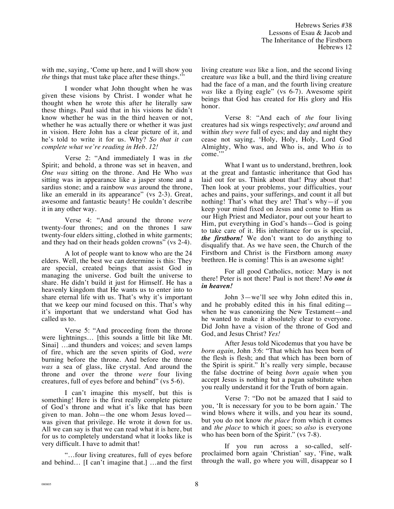with me, saying, 'Come up here, and I will show you *the* things that must take place after these things."

I wonder what John thought when he was given these visions by Christ. I wonder what he thought when he wrote this after he literally saw these things. Paul said that in his visions he didn't know whether he was in the third heaven or not, whether he was actually there or whether it was just in vision. Here John has a clear picture of it, and he's told to write it for us. Why? *So that it can complete what we're reading in Heb. 12!*

Verse 2: "And immediately I was in *the* Spirit; and behold, a throne was set in heaven, and *One was* sitting on the throne. And He Who *was* sitting was in appearance like a jasper stone and a sardius stone; and a rainbow *was* around the throne, like an emerald in its appearance" (vs 2-3). Great, awesome and fantastic beauty! He couldn't describe it in any other way.

Verse 4: "And around the throne *were* twenty-four thrones; and on the thrones I saw twenty-four elders sitting, clothed in white garments; and they had on their heads golden crowns" (vs 2-4).

A lot of people want to know who are the 24 elders. Well, the best we can determine is this: They are special, created beings that assist God in managing the universe. God built the universe to share. He didn't build it just for Himself. He has a heavenly kingdom that He wants us to enter into to share eternal life with us. That's why it's important that we keep our mind focused on this. That's why it's important that we understand what God has called us to.

Verse 5: "And proceeding from the throne were lightnings… [this sounds a little bit like Mt. Sinai] …and thunders and voices; and seven lamps of fire, which are the seven spirits of God, *were* burning before the throne. And before the throne *was* a sea of glass, like crystal. And around the throne and over the throne *were* four living creatures, full of eyes before and behind" (vs 5-6).

I can't imagine this myself, but this is something! Here is the first really complete picture of God's throne and what it's like that has been given to man. John—the one whom Jesus loved was given that privilege. He wrote it down for us. All we can say is that we can read what it is here, but for us to completely understand what it looks like is very difficult. I have to admit that!

"…four living creatures, full of eyes before and behind… [I can't imagine that.] …and the first living creature *was* like a lion, and the second living creature *was* like a bull, and the third living creature had the face of a man, and the fourth living creature *was* like a flying eagle" (vs 6-7). Awesome spirit beings that God has created for His glory and His honor.

Verse 8: "And each of *the* four living creatures had six wings respectively; *and* around and within *they were* full of eyes; and day and night they cease not saying, 'Holy, Holy, Holy, Lord God Almighty, Who was, and Who is, and Who *is* to come.'"

What I want us to understand, brethren, look at the great and fantastic inheritance that God has laid out for us. Think about that! Pray about that! Then look at your problems, your difficulties, your aches and pains, your sufferings, and count it all but nothing! That's what they are! That's why—if you keep your mind fixed on Jesus and come to Him as our High Priest and Mediator, pour out your heart to Him, put everything in God's hands—God is going to take care of it. His inheritance for us is special, *the firstborn!* We don't want to do anything to disqualify that. As we have seen, the Church of the Firstborn and Christ is the Firstborn among *many* brethren. He is coming! This is an awesome sight!

For all good Catholics, notice: Mary is not there! Peter is not there! Paul is not there! *No one is in heaven!* 

John 3—we'll see why John edited this in, and he probably edited this in his final editing when he was canonizing the New Testament—and he wanted to make it absolutely clear to everyone. Did John have a vision of the throne of God and God, and Jesus Christ? *Yes!*

After Jesus told Nicodemus that you have be *born again,* John 3:6: "That which has been born of the flesh is flesh; and that which has been born of the Spirit is spirit." It's really very simple, because the false doctrine of being *born again* when you accept Jesus is nothing but a pagan substitute when you really understand it for the Truth of born again.

Verse 7: "Do not be amazed that I said to you, 'It is necessary for you to be born again.' The wind blows where it wills, and you hear its sound, but you do not know *the place* from which it comes and *the place* to which it goes; so *also* is everyone who has been born of the Spirit." (vs 7-8).

If you run across a so-called, selfproclaimed born again 'Christian' say, 'Fine, walk through the wall, go where you will, disappear so I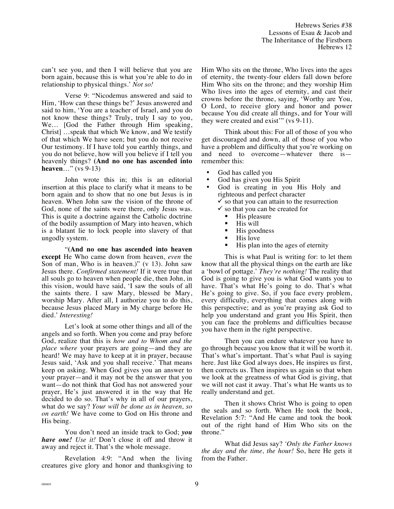can't see you, and then I will believe that you are born again, because this is what you're able to do in relationship to physical things.' *Not so!*

Verse 9: "Nicodemus answered and said to Him, 'How can these things be?' Jesus answered and said to him, 'You are a teacher of Israel, and you do not know these things? Truly, truly I say to you, We… [God the Father through Him speaking, Christ] …speak that which We know, and We testify of that which We have seen; but you do not receive Our testimony. If I have told you earthly things, and you do not believe, how will you believe if I tell you heavenly things? **(And no one has ascended into heaven**…" (vs 9-13)

John wrote this in; this is an editorial insertion at this place to clarify what it means to be born again and to show that no one but Jesus is in heaven. When John saw the vision of the throne of God, none of the saints were there, only Jesus was. This is quite a doctrine against the Catholic doctrine of the bodily assumption of Mary into heaven, which is a blatant lie to lock people into slavery of that ungodly system.

"**(And no one has ascended into heaven except** He Who came down from heaven, *even* the Son of man, Who is in heaven.)" (v 13). John saw Jesus there. *Confirmed statement!* If it were true that all souls go to heaven when people die, then John, in this vision, would have said, 'I saw the souls of all the saints there. I saw Mary, blessed be Mary, worship Mary. After all, I authorize you to do this, because Jesus placed Mary in My charge before He died.' *Interesting!*

Let's look at some other things and all of the angels and so forth. When you come and pray before God, realize that this is *how and to Whom and the place where* your prayers are going—and they are heard! We may have to keep at it in prayer, because Jesus said, 'Ask and you shall receive.' That means keep on asking. When God gives you an answer to your prayer—and it may not be the answer that you want—do not think that God has not answered your prayer, He's just answered it in the way that He decided to do so. That's why in all of our prayers, what do we say? *Your will be done as in heaven, so on earth!* We have come to God on His throne and His being.

You don't need an inside track to God; *you have one! Use it!* Don't close it off and throw it away and reject it. That's the whole message.

Revelation 4:9: "And when the living creatures give glory and honor and thanksgiving to Him Who sits on the throne, Who lives into the ages of eternity, the twenty-four elders fall down before Him Who sits on the throne; and they worship Him Who lives into the ages of eternity, and cast their crowns before the throne, saying, 'Worthy are You, O Lord, to receive glory and honor and power because You did create all things, and for Your will they were created and exist'" (vs 9-11).

Think about this: For all of those of you who get discouraged and down, all of those of you who have a problem and difficulty that you're working on and need to overcome—whatever there is remember this:

- God has called you
- God has given you His Spirit
- God is creating in you His Holy and righteous and perfect character
	- $\checkmark$  so that you can attain to the resurrection
	- $\checkmark$  so that you can be created for
		- $\blacksquare$  His pleasure
		- His will
		- $\blacksquare$  His goodness<br> $\blacksquare$  His love
		- His love
		- " His plan into the ages of eternity

This is what Paul is writing for: to let them know that all the physical things on the earth are like a 'bowl of pottage.' *They're nothing!* The reality that God is going to give you is what God wants you to have. That's what He's going to do. That's what He's going to give. So, if you face every problem, every difficulty, everything that comes along with this perspective; and as you're praying ask God to help you understand and grant you His Spirit, then you can face the problems and difficulties because you have them in the right perspective.

Then you can endure whatever you have to go through because you know that it will be worth it. That's what's important. That's what Paul is saying here. Just like God always does, He inspires us first, then corrects us. Then inspires us again so that when we look at the greatness of what God is giving, that we will not cast it away. That's what He wants us to really understand and get.

Then it shows Christ Who is going to open the seals and so forth. When He took the book, Revelation 5:7: "And He came and took the book out of the right hand of Him Who sits on the throne."

What did Jesus say? *'Only the Father knows the day and the time, the hour!* So, here He gets it from the Father.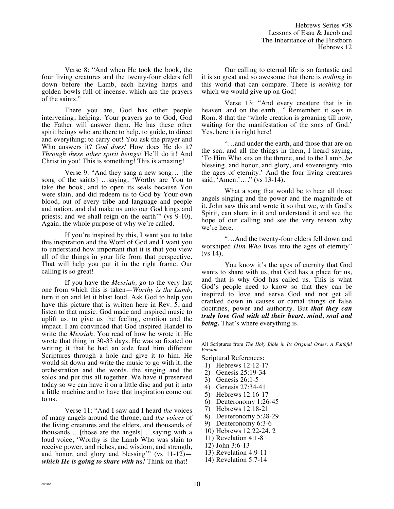Verse 8: "And when He took the book, the four living creatures and the twenty-four elders fell down before the Lamb, each having harps and golden bowls full of incense, which are the prayers of the saints."

There you are, God has other people intervening, helping. Your prayers go to God, God the Father will answer them, He has these other spirit beings who are there to help, to guide, to direct and everything; to carry out! You ask the prayer and Who answers it? *God does!* How does He do it? *Through these other spirit beings!* He'll do it! And Christ in you! This is something! This is amazing!

Verse 9: "And they sang a new song… [the song of the saints] …saying, 'Worthy are You to take the book, and to open its seals because You were slain, and did redeem us to God by Your own blood, out of every tribe and language and people and nation, and did make us unto our God kings and priests; and we shall reign on the earth'" (vs 9-10). Again, the whole purpose of why we're called.

If you're inspired by this, I want you to take this inspiration and the Word of God and I want you to understand how important that it is that you view all of the things in your life from that perspective. That will help you put it in the right frame. Our calling is so great!

If you have the *Messiah,* go to the very last one from which this is taken—*Worthy is the Lamb*, turn it on and let it blast loud. Ask God to help you have this picture that is written here in Rev. 5, and listen to that music. God made and inspired music to uplift us, to give us the feeling, emotion and the impact. I am convinced that God inspired Handel to write the *Messiah.* You read of how he wrote it. He wrote that thing in 30-33 days. He was so fixated on writing it that he had an aide feed him different Scriptures through a hole and give it to him. He would sit down and write the music to go with it, the orchestration and the words, the singing and the solos and put this all together. We have it preserved today so we can have it on a little disc and put it into a little machine and to have that inspiration come out to us.

Verse 11: "And I saw and I heard *the* voices of many angels around the throne, and *the voices* of the living creatures and the elders, and thousands of thousands… [those are the angels] …saying with a loud voice, 'Worthy is the Lamb Who was slain to receive power, and riches, and wisdom, and strength, and honor, and glory and blessing'" (vs 11-12) *which He is going to share with us!* Think on that!

Our calling to eternal life is so fantastic and it is so great and so awesome that there is *nothing* in this world that can compare. There is *nothing* for which we would give up on God!

Verse 13: "And every creature that is in heaven, and on the earth…" Remember, it says in Rom. 8 that the 'whole creation is groaning till now, waiting for the manifestation of the sons of God.' Yes, here it is right here!

"…and under the earth, and those that are on the sea, and all the things in them, I heard saying, 'To Him Who sits on the throne, and to the Lamb, *be* blessing, and honor, and glory, and sovereignty into the ages of eternity.' And the four living creatures said, 'Amen.'...." (vs 13-14).

What a song that would be to hear all those angels singing and the power and the magnitude of it. John saw this and wrote it so that we, with God's Spirit, can share in it and understand it and see the hope of our calling and see the very reason why we're here.

"…And the twenty-four elders fell down and worshiped *Him Who* lives into the ages of eternity" (vs 14).

You know it's the ages of eternity that God wants to share with us, that God has a place for us, and that is why God has called us. This is what God's people need to know so that they can be inspired to love and serve God and not get all cranked down in causes or carnal things or false doctrines, power and authority. But *that they can truly love God with all their heart, mind, soul and being.* That's where everything is.

All Scriptures from *The Holy Bible in Its Original Order, A Faithful Version* 

Scriptural References:

- 1) Hebrews 12:12-17
- 2) Genesis 25:19-34
- 3) Genesis 26:1-5
- 4) Genesis 27:34-41
- 5) Hebrews 12:16-17
- 6) Deuteronomy 1:26-45
- 7) Hebrews 12:18-21
- 8) Deuteronomy 5:28-29
- 9) Deuteronomy 6:3-6
- 10) Hebrews 12:22-24, 2
- 11) Revelation 4:1-8
- 12) John 3:6-13
- 13) Revelation 4:9-11
- 14) Revelation 5:7-14